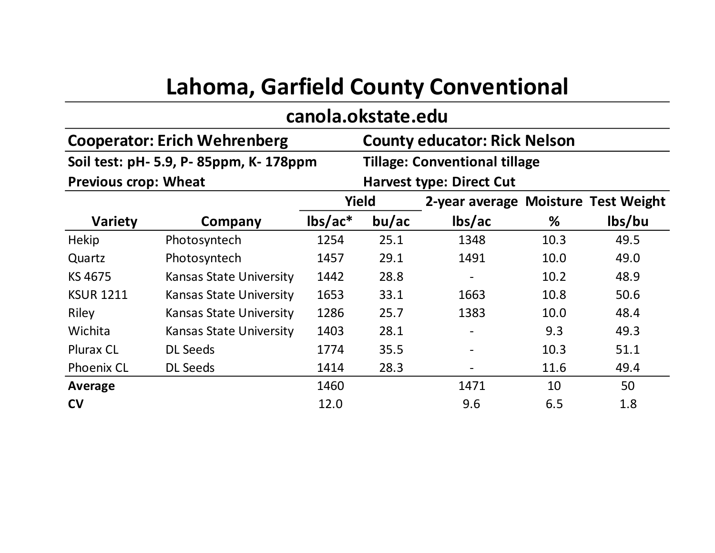## **Lahoma, Garfield County Conventional**

## **Soil test: pH- 5.9, P- 85ppm, K- 178ppm 2-year average Moisture Test Weight Variety Company lbs/ac\* bu/ac lbs/ac % lbs/bu** Hekip Photosyntech 1254 25.1 1348 10.3 49.5 Quartz Photosyntech 1457 29.1 1491 10.0 49.0 KS 4675 Kansas State University 1442 28.8 - 10.2 48.9 KSUR 1211 Kansas State University 1653 33.1 1663 10.8 50.6 Riley Kansas State University 1286 25.7 1383 10.0 48.4 Wichita Kansas State University 1403 28.1 - 9.3 49.3 Plurax CL DL Seeds 1774 35.5 - 10.3 51.1 Phoenix CL DL Seeds 1414 28.3 - 11.6 49.4 **Average** 1460 1460 1471 10 50 **Yield canola.okstate.edu Cooperator: Erich Wehrenberg County educator: Rick Nelson Tillage: Conventional tillage Previous crop: Wheat <b>Harvest type: Direct Cut**

**C V** 12.0 9.6 6.5 1.8